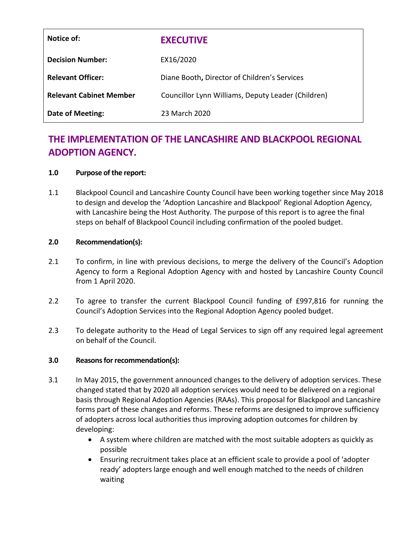| Notice of:                     | <b>EXECUTIVE</b>                                   |
|--------------------------------|----------------------------------------------------|
| <b>Decision Number:</b>        | EX16/2020                                          |
| <b>Relevant Officer:</b>       | Diane Booth, Director of Children's Services       |
| <b>Relevant Cabinet Member</b> | Councillor Lynn Williams, Deputy Leader (Children) |
| Date of Meeting:               | 23 March 2020                                      |

# **THE IMPLEMENTATION OF THE LANCASHIRE AND BLACKPOOL REGIONAL ADOPTION AGENCY.**

#### **1.0 Purpose of the report:**

1.1 Blackpool Council and Lancashire County Council have been working together since May 2018 to design and develop the 'Adoption Lancashire and Blackpool' Regional Adoption Agency, with Lancashire being the Host Authority. The purpose of this report is to agree the final steps on behalf of Blackpool Council including confirmation of the pooled budget.

#### **2.0 Recommendation(s):**

- 2.1 To confirm, in line with previous decisions, to merge the delivery of the Council's Adoption Agency to form a Regional Adoption Agency with and hosted by Lancashire County Council from 1 April 2020.
- 2.2 To agree to transfer the current Blackpool Council funding of £997,816 for running the Council's Adoption Services into the Regional Adoption Agency pooled budget.
- 2.3 To delegate authority to the Head of Legal Services to sign off any required legal agreement on behalf of the Council.

#### **3.0 Reasons for recommendation(s):**

- 3.1 In May 2015, the government announced changes to the delivery of adoption services. These changed stated that by 2020 all adoption services would need to be delivered on a regional basis through Regional Adoption Agencies (RAAs). This proposal for Blackpool and Lancashire forms part of these changes and reforms. These reforms are designed to improve sufficiency of adopters across local authorities thus improving adoption outcomes for children by developing:
	- A system where children are matched with the most suitable adopters as quickly as possible
	- Ensuring recruitment takes place at an efficient scale to provide a pool of 'adopter ready' adopters large enough and well enough matched to the needs of children waiting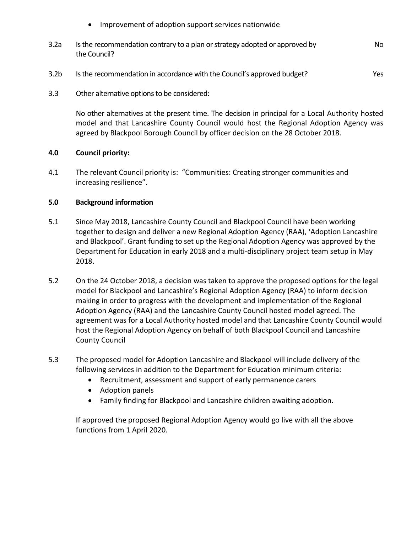- Improvement of adoption support services nationwide
- 3.2a Is the recommendation contrary to a plan or strategy adopted or approved by the Council? No
- 3.2b Is the recommendation in accordance with the Council's approved budget? Yes
- 3.3 Other alternative options to be considered:

No other alternatives at the present time. The decision in principal for a Local Authority hosted model and that Lancashire County Council would host the Regional Adoption Agency was agreed by Blackpool Borough Council by officer decision on the 28 October 2018.

#### **4.0 Council priority:**

4.1 The relevant Council priority is: "Communities: Creating stronger communities and increasing resilience".

#### **5.0 Background information**

- 5.1 Since May 2018, Lancashire County Council and Blackpool Council have been working together to design and deliver a new Regional Adoption Agency (RAA), 'Adoption Lancashire and Blackpool'. Grant funding to set up the Regional Adoption Agency was approved by the Department for Education in early 2018 and a multi-disciplinary project team setup in May 2018.
- 5.2 On the 24 October 2018, a decision was taken to approve the proposed options for the legal model for Blackpool and Lancashire's Regional Adoption Agency (RAA) to inform decision making in order to progress with the development and implementation of the Regional Adoption Agency (RAA) and the Lancashire County Council hosted model agreed. The agreement was for a Local Authority hosted model and that Lancashire County Council would host the Regional Adoption Agency on behalf of both Blackpool Council and Lancashire County Council
- 5.3 The proposed model for Adoption Lancashire and Blackpool will include delivery of the following services in addition to the Department for Education minimum criteria:
	- Recruitment, assessment and support of early permanence carers
	- Adoption panels
	- Family finding for Blackpool and Lancashire children awaiting adoption.

If approved the proposed Regional Adoption Agency would go live with all the above functions from 1 April 2020.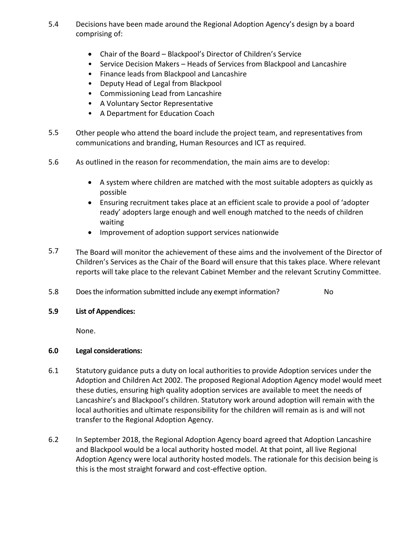- 5.4 Decisions have been made around the Regional Adoption Agency's design by a board comprising of:
	- Chair of the Board Blackpool's Director of Children's Service
	- Service Decision Makers Heads of Services from Blackpool and Lancashire
	- Finance leads from Blackpool and Lancashire
	- Deputy Head of Legal from Blackpool
	- Commissioning Lead from Lancashire
	- A Voluntary Sector Representative
	- A Department for Education Coach
- 5.5 Other people who attend the board include the project team, and representatives from communications and branding, Human Resources and ICT as required.
- 5.6 As outlined in the reason for recommendation, the main aims are to develop:
	- A system where children are matched with the most suitable adopters as quickly as possible
	- Ensuring recruitment takes place at an efficient scale to provide a pool of 'adopter ready' adopters large enough and well enough matched to the needs of children waiting
	- Improvement of adoption support services nationwide
- 5.7 The Board will monitor the achievement of these aims and the involvement of the Director of Children's Services as the Chair of the Board will ensure that this takes place. Where relevant reports will take place to the relevant Cabinet Member and the relevant Scrutiny Committee.
- 5.8 Does the information submitted include any exempt information? No
- **5.9 List of Appendices:**

None.

# **6.0 Legal considerations:**

- 6.1 Statutory guidance puts a duty on local authorities to provide Adoption services under the Adoption and Children Act 2002. The proposed Regional Adoption Agency model would meet these duties, ensuring high quality adoption services are available to meet the needs of Lancashire's and Blackpool's children. Statutory work around adoption will remain with the local authorities and ultimate responsibility for the children will remain as is and will not transfer to the Regional Adoption Agency.
- 6.2 In September 2018, the Regional Adoption Agency board agreed that Adoption Lancashire and Blackpool would be a local authority hosted model. At that point, all live Regional Adoption Agency were local authority hosted models. The rationale for this decision being is this is the most straight forward and cost-effective option.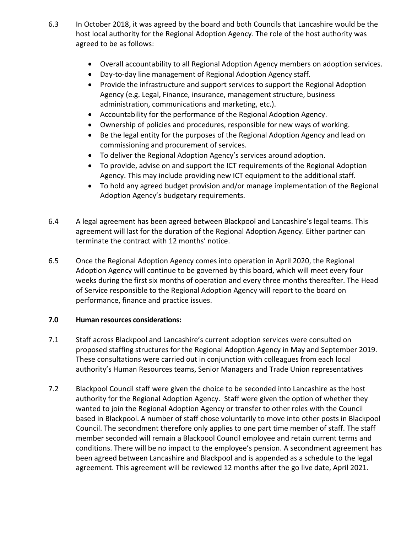- 6.3 In October 2018, it was agreed by the board and both Councils that Lancashire would be the host local authority for the Regional Adoption Agency. The role of the host authority was agreed to be as follows:
	- Overall accountability to all Regional Adoption Agency members on adoption services.
	- Day-to-day line management of Regional Adoption Agency staff.
	- Provide the infrastructure and support services to support the Regional Adoption Agency (e.g. Legal, Finance, insurance, management structure, business administration, communications and marketing, etc.).
	- Accountability for the performance of the Regional Adoption Agency.
	- Ownership of policies and procedures, responsible for new ways of working.
	- Be the legal entity for the purposes of the Regional Adoption Agency and lead on commissioning and procurement of services.
	- To deliver the Regional Adoption Agency's services around adoption.
	- To provide, advise on and support the ICT requirements of the Regional Adoption Agency. This may include providing new ICT equipment to the additional staff.
	- To hold any agreed budget provision and/or manage implementation of the Regional Adoption Agency's budgetary requirements.
- 6.4 A legal agreement has been agreed between Blackpool and Lancashire's legal teams. This agreement will last for the duration of the Regional Adoption Agency. Either partner can terminate the contract with 12 months' notice.
- 6.5 Once the Regional Adoption Agency comes into operation in April 2020, the Regional Adoption Agency will continue to be governed by this board, which will meet every four weeks during the first six months of operation and every three months thereafter. The Head of Service responsible to the Regional Adoption Agency will report to the board on performance, finance and practice issues.

# **7.0 Human resources considerations:**

- 7.1 Staff across Blackpool and Lancashire's current adoption services were consulted on proposed staffing structures for the Regional Adoption Agency in May and September 2019. These consultations were carried out in conjunction with colleagues from each local authority's Human Resources teams, Senior Managers and Trade Union representatives
- 7.2 Blackpool Council staff were given the choice to be seconded into Lancashire as the host authority for the Regional Adoption Agency. Staff were given the option of whether they wanted to join the Regional Adoption Agency or transfer to other roles with the Council based in Blackpool. A number of staff chose voluntarily to move into other posts in Blackpool Council. The secondment therefore only applies to one part time member of staff. The staff member seconded will remain a Blackpool Council employee and retain current terms and conditions. There will be no impact to the employee's pension. A secondment agreement has been agreed between Lancashire and Blackpool and is appended as a schedule to the legal agreement. This agreement will be reviewed 12 months after the go live date, April 2021.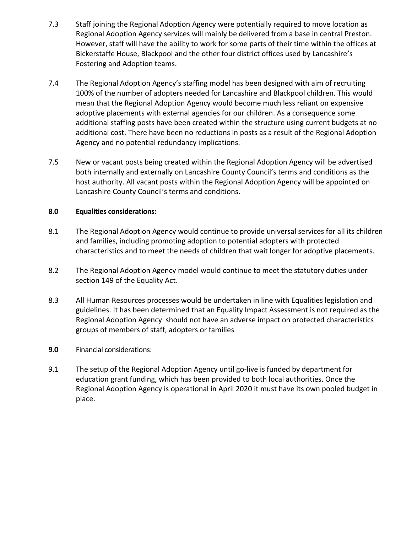- 7.3 Staff joining the Regional Adoption Agency were potentially required to move location as Regional Adoption Agency services will mainly be delivered from a base in central Preston. However, staff will have the ability to work for some parts of their time within the offices at Bickerstaffe House, Blackpool and the other four district offices used by Lancashire's Fostering and Adoption teams.
- 7.4 The Regional Adoption Agency's staffing model has been designed with aim of recruiting 100% of the number of adopters needed for Lancashire and Blackpool children. This would mean that the Regional Adoption Agency would become much less reliant on expensive adoptive placements with external agencies for our children. As a consequence some additional staffing posts have been created within the structure using current budgets at no additional cost. There have been no reductions in posts as a result of the Regional Adoption Agency and no potential redundancy implications.
- 7.5 New or vacant posts being created within the Regional Adoption Agency will be advertised both internally and externally on Lancashire County Council's terms and conditions as the host authority. All vacant posts within the Regional Adoption Agency will be appointed on Lancashire County Council's terms and conditions.

#### **8.0 Equalities considerations:**

- 8.1 The Regional Adoption Agency would continue to provide universal services for all its children and families, including promoting adoption to potential adopters with protected characteristics and to meet the needs of children that wait longer for adoptive placements.
- 8.2 The Regional Adoption Agency model would continue to meet the statutory duties under section 149 of the Equality Act.
- 8.3 All Human Resources processes would be undertaken in line with Equalities legislation and guidelines. It has been determined that an Equality Impact Assessment is not required as the Regional Adoption Agency should not have an adverse impact on protected characteristics groups of members of staff, adopters or families
- **9.0** Financial considerations:
- 9.1 The setup of the Regional Adoption Agency until go-live is funded by department for education grant funding, which has been provided to both local authorities. Once the Regional Adoption Agency is operational in April 2020 it must have its own pooled budget in place.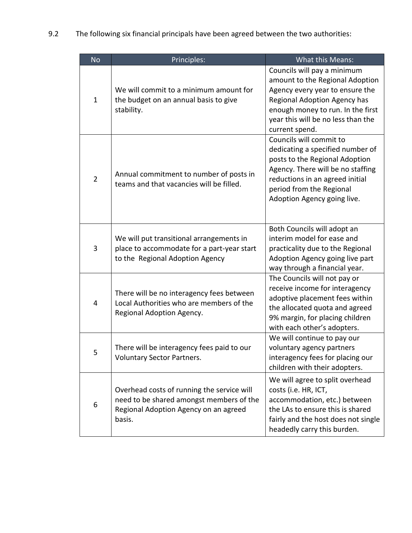9.2 The following six financial principals have been agreed between the two authorities:

| <b>No</b>      | Principles:                                                                                                                               | What this Means:                                                                                                                                                                                                                 |
|----------------|-------------------------------------------------------------------------------------------------------------------------------------------|----------------------------------------------------------------------------------------------------------------------------------------------------------------------------------------------------------------------------------|
| $\mathbf{1}$   | We will commit to a minimum amount for<br>the budget on an annual basis to give<br>stability.                                             | Councils will pay a minimum<br>amount to the Regional Adoption<br>Agency every year to ensure the<br>Regional Adoption Agency has<br>enough money to run. In the first<br>year this will be no less than the<br>current spend.   |
| $\overline{2}$ | Annual commitment to number of posts in<br>teams and that vacancies will be filled.                                                       | Councils will commit to<br>dedicating a specified number of<br>posts to the Regional Adoption<br>Agency. There will be no staffing<br>reductions in an agreed initial<br>period from the Regional<br>Adoption Agency going live. |
| 3              | We will put transitional arrangements in<br>place to accommodate for a part-year start<br>to the Regional Adoption Agency                 | Both Councils will adopt an<br>interim model for ease and<br>practicality due to the Regional<br>Adoption Agency going live part<br>way through a financial year.                                                                |
| 4              | There will be no interagency fees between<br>Local Authorities who are members of the<br>Regional Adoption Agency.                        | The Councils will not pay or<br>receive income for interagency<br>adoptive placement fees within<br>the allocated quota and agreed<br>9% margin, for placing children<br>with each other's adopters.                             |
| 5              | There will be interagency fees paid to our<br><b>Voluntary Sector Partners.</b>                                                           | We will continue to pay our<br>voluntary agency partners<br>interagency fees for placing our<br>children with their adopters.                                                                                                    |
| 6              | Overhead costs of running the service will<br>need to be shared amongst members of the<br>Regional Adoption Agency on an agreed<br>basis. | We will agree to split overhead<br>costs (i.e. HR, ICT,<br>accommodation, etc.) between<br>the LAs to ensure this is shared<br>fairly and the host does not single<br>headedly carry this burden.                                |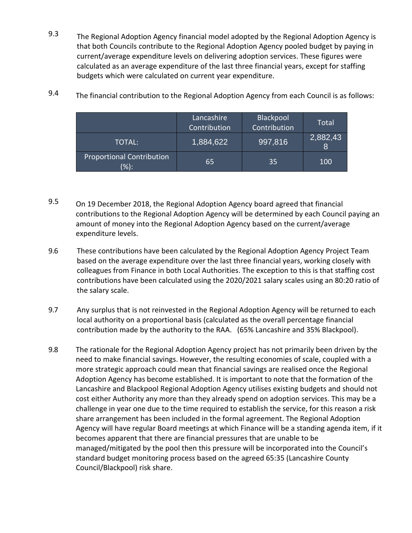9.3 The Regional Adoption Agency financial model adopted by the Regional Adoption Agency is that both Councils contribute to the Regional Adoption Agency pooled budget by paying in current/average expenditure levels on delivering adoption services. These figures were calculated as an average expenditure of the last three financial years, except for staffing budgets which were calculated on current year expenditure.

|                                             | Lancashire<br>Contribution | Blackpool<br>Contribution | Total                      |
|---------------------------------------------|----------------------------|---------------------------|----------------------------|
| TOTAL:                                      | 1,884,622                  | 997,816                   | 2,882,43<br>$\overline{8}$ |
| <b>Proportional Contribution</b><br>$(\%):$ | 65                         | 35                        | 100                        |

9.4 The financial contribution to the Regional Adoption Agency from each Council is as follows:

- 9.5 On 19 December 2018, the Regional Adoption Agency board agreed that financial contributions to the Regional Adoption Agency will be determined by each Council paying an amount of money into the Regional Adoption Agency based on the current/average expenditure levels.
- 9.6 These contributions have been calculated by the Regional Adoption Agency Project Team based on the average expenditure over the last three financial years, working closely with colleagues from Finance in both Local Authorities. The exception to this is that staffing cost contributions have been calculated using the 2020/2021 salary scales using an 80:20 ratio of the salary scale.
- 9.7 Any surplus that is not reinvested in the Regional Adoption Agency will be returned to each local authority on a proportional basis (calculated as the overall percentage financial contribution made by the authority to the RAA. (65% Lancashire and 35% Blackpool).
- 9.8 The rationale for the Regional Adoption Agency project has not primarily been driven by the need to make financial savings. However, the resulting economies of scale, coupled with a more strategic approach could mean that financial savings are realised once the Regional Adoption Agency has become established. It is important to note that the formation of the Lancashire and Blackpool Regional Adoption Agency utilises existing budgets and should not cost either Authority any more than they already spend on adoption services. This may be a challenge in year one due to the time required to establish the service, for this reason a risk share arrangement has been included in the formal agreement. The Regional Adoption Agency will have regular Board meetings at which Finance will be a standing agenda item, if it becomes apparent that there are financial pressures that are unable to be managed/mitigated by the pool then this pressure will be incorporated into the Council's standard budget monitoring process based on the agreed 65:35 (Lancashire County Council/Blackpool) risk share.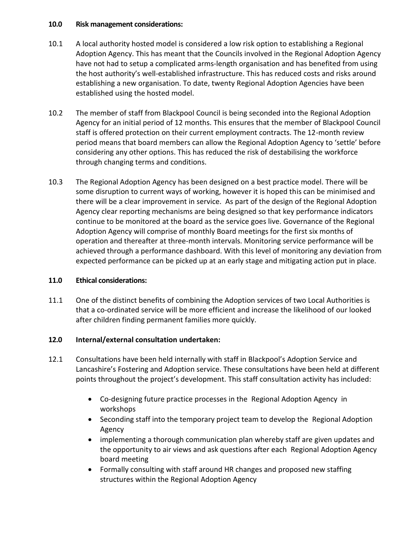#### **10.0 f Risk management considerations:**

- 10.1 A local authority hosted model is considered a low risk option to establishing a Regional Adoption Agency. This has meant that the Councils involved in the Regional Adoption Agency have not had to setup a complicated arms-length organisation and has benefited from using the host authority's well-established infrastructure. This has reduced costs and risks around establishing a new organisation. To date, twenty Regional Adoption Agencies have been established using the hosted model.
- 10.2 The member of staff from Blackpool Council is being seconded into the Regional Adoption Agency for an initial period of 12 months. This ensures that the member of Blackpool Council staff is offered protection on their current employment contracts. The 12-month review period means that board members can allow the Regional Adoption Agency to 'settle' before considering any other options. This has reduced the risk of destabilising the workforce through changing terms and conditions.
- 10.3 The Regional Adoption Agency has been designed on a best practice model. There will be some disruption to current ways of working, however it is hoped this can be minimised and there will be a clear improvement in service. As part of the design of the Regional Adoption Agency clear reporting mechanisms are being designed so that key performance indicators continue to be monitored at the board as the service goes live. Governance of the Regional Adoption Agency will comprise of monthly Board meetings for the first six months of operation and thereafter at three-month intervals. Monitoring service performance will be achieved through a performance dashboard. With this level of monitoring any deviation from expected performance can be picked up at an early stage and mitigating action put in place.

# **11.0 Ethical considerations:**

11.1 One of the distinct benefits of combining the Adoption services of two Local Authorities is that a co-ordinated service will be more efficient and increase the likelihood of our looked after children finding permanent families more quickly.

# **12.0 Internal/external consultation undertaken:**

- 12.1 Consultations have been held internally with staff in Blackpool's Adoption Service and Lancashire's Fostering and Adoption service. These consultations have been held at different points throughout the project's development. This staff consultation activity has included:
	- Co-designing future practice processes in the Regional Adoption Agency in workshops
	- Seconding staff into the temporary project team to develop the Regional Adoption Agency
	- implementing a thorough communication plan whereby staff are given updates and the opportunity to air views and ask questions after each Regional Adoption Agency board meeting
	- Formally consulting with staff around HR changes and proposed new staffing structures within the Regional Adoption Agency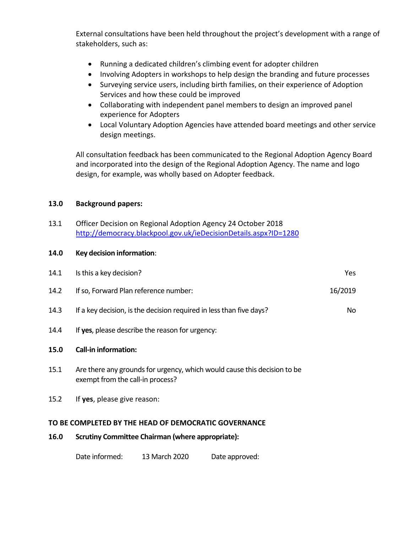External consultations have been held throughout the project's development with a range of stakeholders, such as:

- Running a dedicated children's climbing event for adopter children
- Involving Adopters in workshops to help design the branding and future processes
- Surveying service users, including birth families, on their experience of Adoption Services and how these could be improved
- Collaborating with independent panel members to design an improved panel experience for Adopters
- Local Voluntary Adoption Agencies have attended board meetings and other service design meetings.

All consultation feedback has been communicated to the Regional Adoption Agency Board and incorporated into the design of the Regional Adoption Agency. The name and logo design, for example, was wholly based on Adopter feedback.

#### **13.0 Background papers:**

13.1 Officer Decision on Regional Adoption Agency 24 October 2018 <http://democracy.blackpool.gov.uk/ieDecisionDetails.aspx?ID=1280>

#### **14.0 0Key decision information**:

| 14.1                                                 | Is this a key decision?                                                                                      | Yes     |  |  |
|------------------------------------------------------|--------------------------------------------------------------------------------------------------------------|---------|--|--|
| 14.2                                                 | If so, Forward Plan reference number:                                                                        | 16/2019 |  |  |
| 14.3                                                 | If a key decision, is the decision required in less than five days?                                          | No      |  |  |
| 14.4                                                 | If yes, please describe the reason for urgency:                                                              |         |  |  |
| 15.0                                                 | <b>Call-in information:</b>                                                                                  |         |  |  |
| 15.1                                                 | Are there any grounds for urgency, which would cause this decision to be<br>exempt from the call-in process? |         |  |  |
| 15.2                                                 | If yes, please give reason:                                                                                  |         |  |  |
| TO BE COMPLETED BY THE HEAD OF DEMOCRATIC GOVERNANCE |                                                                                                              |         |  |  |
| 16.0                                                 | <b>Scrutiny Committee Chairman (where appropriate):</b>                                                      |         |  |  |

Date informed: 13 March 2020 Date approved: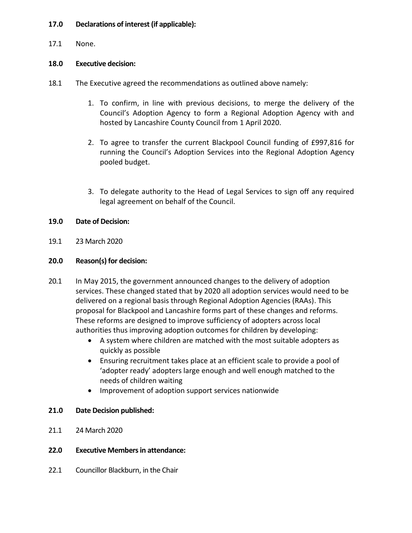### **17.0 Declarations of interest (if applicable):**

17.1 None.

#### **18.0 Executive decision:**

- 18.1 The Executive agreed the recommendations as outlined above namely:
	- 1. To confirm, in line with previous decisions, to merge the delivery of the Council's Adoption Agency to form a Regional Adoption Agency with and hosted by Lancashire County Council from 1 April 2020.
	- 2. To agree to transfer the current Blackpool Council funding of £997,816 for running the Council's Adoption Services into the Regional Adoption Agency pooled budget.
	- 3. To delegate authority to the Head of Legal Services to sign off any required legal agreement on behalf of the Council.

# **19.0 Date of Decision:**

19.1 23 March 2020

#### **20.0 Reason(s) for decision:**

- 20.1 In May 2015, the government announced changes to the delivery of adoption services. These changed stated that by 2020 all adoption services would need to be delivered on a regional basis through Regional Adoption Agencies (RAAs). This proposal for Blackpool and Lancashire forms part of these changes and reforms. These reforms are designed to improve sufficiency of adopters across local authorities thus improving adoption outcomes for children by developing:
	- A system where children are matched with the most suitable adopters as quickly as possible
	- Ensuring recruitment takes place at an efficient scale to provide a pool of 'adopter ready' adopters large enough and well enough matched to the needs of children waiting
	- Improvement of adoption support services nationwide

# **21.0 Date Decision published:**

21.1 24 March 2020

# **22.0 Executive Members in attendance:**

22.1 Councillor Blackburn, in the Chair